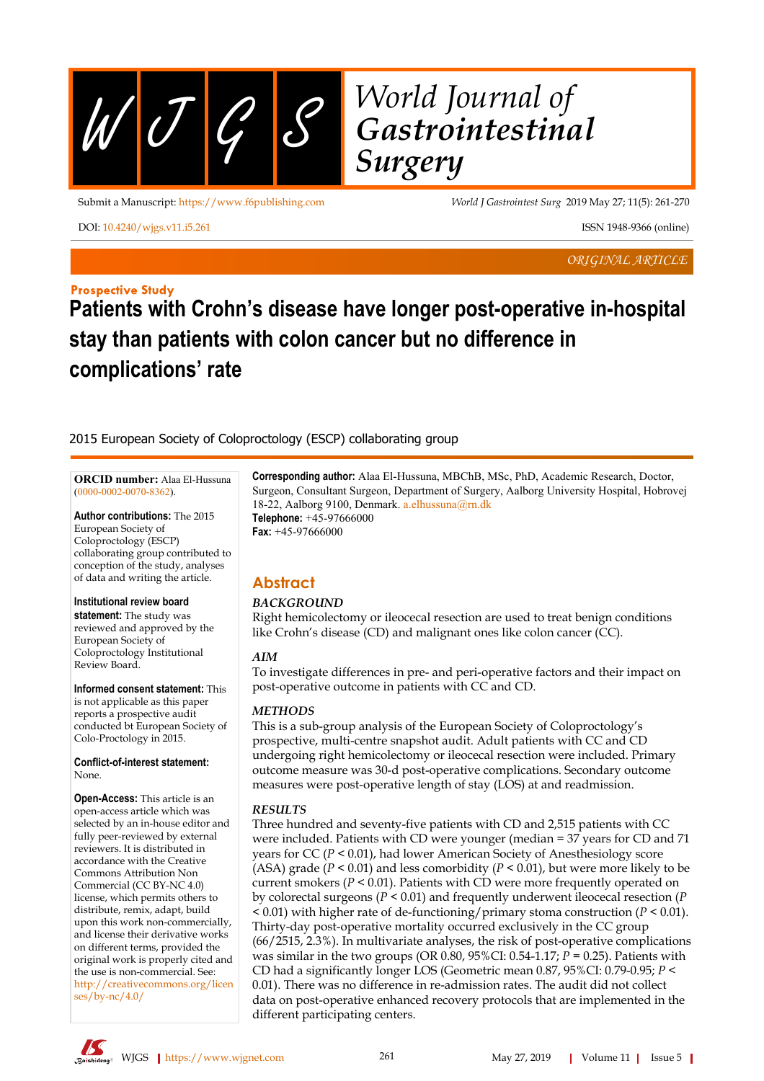$WJQS$ 

# *World Journal of Gastrointestinal Surgery*

Submit a Manuscript: https://www.f6publishing.com *World J Gastrointest Surg* 2019 May 27; 11(5): 261-270

DOI: [10.4240/wjgs.v11.i5.261](https://dx.doi.org/10.4240/wjgs.v11.i5.261) ISSN 1948-9366 (online)

*ORIGINAL ARTICLE*

## **Prospective Study**

## **Patients with Crohn's disease have longer post-operative in-hospital stay than patients with colon cancer but no difference in complications' rate**

## 2015 European Society of Coloproctology (ESCP) collaborating group

**ORCID number:** Alaa El-Hussuna [\(0000-0002-0070-8362](http://orcid.org/0000-0002-0070-8362)).

**Author contributions:** The 2015 European Society of Coloproctology (ESCP) collaborating group contributed to conception of the study, analyses of data and writing the article.

#### **Institutional review board**

**statement:** The study was reviewed and approved by the European Society of Coloproctology Institutional Review Board.

**Informed consent statement:** This is not applicable as this paper reports a prospective audit conducted bt European Society of Colo-Proctology in 2015.

**Conflict-of-interest statement:** None.

**Open-Access:** This article is an open-access article which was selected by an in-house editor and fully peer-reviewed by external reviewers. It is distributed in accordance with the Creative Commons Attribution Non Commercial (CC BY-NC 4.0) license, which permits others to distribute, remix, adapt, build upon this work non-commercially, and license their derivative works on different terms, provided the original work is properly cited and the use is non-commercial. See: [http://creativecommons.org/licen](http://creativecommons.org/licenses/by-nc/4.0/) [ses/by-nc/4.0/](http://creativecommons.org/licenses/by-nc/4.0/)

**Corresponding author:** Alaa El-Hussuna, MBChB, MSc, PhD, Academic Research, Doctor, Surgeon, Consultant Surgeon, Department of Surgery, Aalborg University Hospital, Hobrovej 18-22, Aalborg 9100, Denmark. [a.elhussuna@rn.dk](mailto:a.elhussuna@rn.dk) **Telephone:** +45-97666000

**Fax:** +45-97666000

## **Abstract**

## *BACKGROUND*

Right hemicolectomy or ileocecal resection are used to treat benign conditions like Crohn's disease (CD) and malignant ones like colon cancer (CC).

## *AIM*

To investigate differences in pre- and peri-operative factors and their impact on post-operative outcome in patients with CC and CD.

## *METHODS*

This is a sub-group analysis of the European Society of Coloproctology's prospective, multi-centre snapshot audit. Adult patients with CC and CD undergoing right hemicolectomy or ileocecal resection were included. Primary outcome measure was 30-d post-operative complications. Secondary outcome measures were post-operative length of stay (LOS) at and readmission.

## *RESULTS*

Three hundred and seventy-five patients with CD and 2,515 patients with CC were included. Patients with CD were younger (median = 37 years for CD and 71 years for CC (*P* < 0.01), had lower American Society of Anesthesiology score (ASA) grade ( $P < 0.01$ ) and less comorbidity ( $P < 0.01$ ), but were more likely to be current smokers ( $P < 0.01$ ). Patients with CD were more frequently operated on by colorectal surgeons (*P* < 0.01) and frequently underwent ileocecal resection (*P* < 0.01) with higher rate of de-functioning/primary stoma construction (*P* < 0.01). Thirty-day post-operative mortality occurred exclusively in the CC group (66/2515, 2.3%). In multivariate analyses, the risk of post-operative complications was similar in the two groups (OR 0.80, 95%CI: 0.54-1.17; *P* = 0.25). Patients with CD had a significantly longer LOS (Geometric mean 0.87, 95%CI: 0.79-0.95; *P* < 0.01). There was no difference in re-admission rates. The audit did not collect data on post-operative enhanced recovery protocols that are implemented in the different participating centers.



hiden<sub>g</sub>® WJGS | https://www.wjgnet.com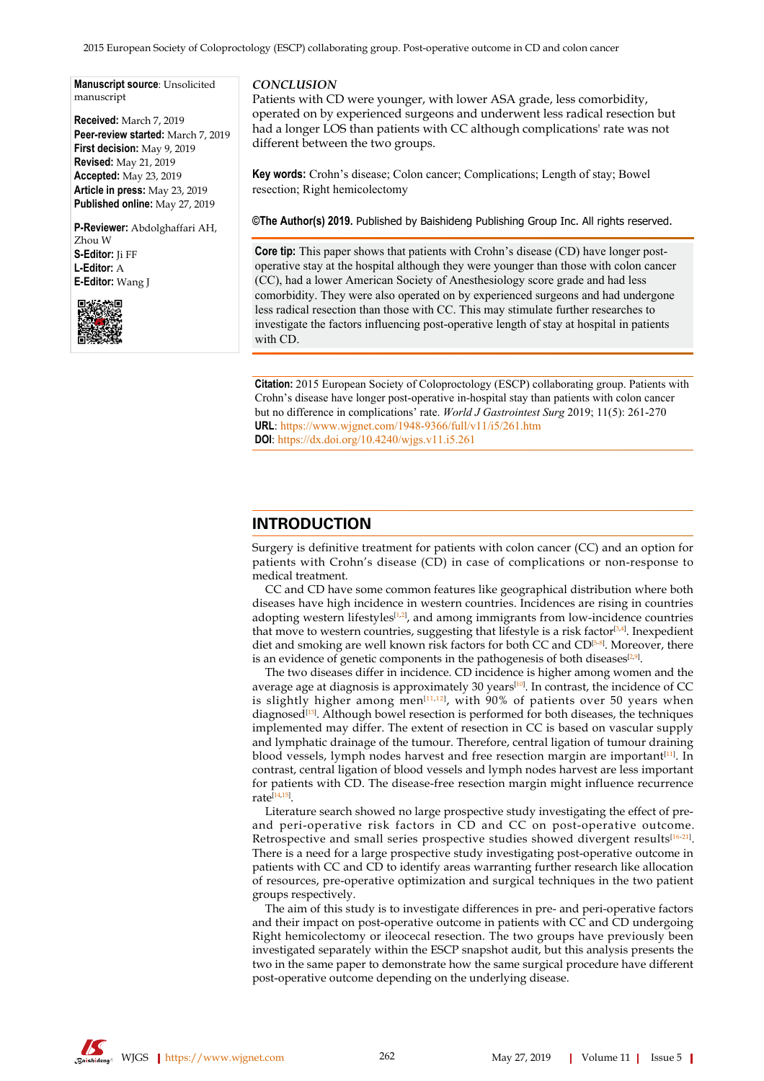2015 European Society of Coloproctology (ESCP) collaborating group. Post-operative outcome in CD and colon cancer

**Manuscript source**: Unsolicited manuscript

**Received:** March 7, 2019 **Peer-review started:** March 7, 2019 **First decision:** May 9, 2019 **Revised:** May 21, 2019 **Accepted:** May 23, 2019 **Article in press:** May 23, 2019 **Published online:** May 27, 2019

**P-Reviewer:** Abdolghaffari AH, Zhou W **S-Editor:** Ji FF **L-Editor:** A **E-Editor:** Wang J



#### *CONCLUSION*

Patients with CD were younger, with lower ASA grade, less comorbidity, operated on by experienced surgeons and underwent less radical resection but had a longer LOS than patients with CC although complications' rate was not different between the two groups.

**Key words:** Crohn's disease; Colon cancer; Complications; Length of stay; Bowel resection; Right hemicolectomy

**©The Author(s) 2019.** Published by Baishideng Publishing Group Inc. All rights reserved.

**Core tip:** This paper shows that patients with Crohn's disease (CD) have longer postoperative stay at the hospital although they were younger than those with colon cancer (CC), had a lower American Society of Anesthesiology score grade and had less comorbidity. They were also operated on by experienced surgeons and had undergone less radical resection than those with CC. This may stimulate further researches to investigate the factors influencing post-operative length of stay at hospital in patients with CD.

**Citation:** 2015 European Society of Coloproctology (ESCP) collaborating group. Patients with Crohn's disease have longer post-operative in-hospital stay than patients with colon cancer but no difference in complications' rate. *World J Gastrointest Surg* 2019; 11(5): 261-270 **URL**: https://www.wjgnet.com/1948-9366/full/v11/i5/261.htm **DOI**: https://dx.doi.org/10.4240/wjgs.v11.i5.261

## **INTRODUCTION**

Surgery is definitive treatment for patients with colon cancer (CC) and an option for patients with Crohn's disease (CD) in case of complications or non-response to medical treatment.

CC and CD have some common features like geographical distribution where both diseases have high incidence in western countries. Incidences are rising in countries adopting western lifestyles<sup>[[1](#page-8-0),[2](#page-8-1)]</sup>, and among immigrants from low-incidence countries that move to western countries, suggesting that lifestyle is a risk factor<sup>[[3](#page-8-2),[4](#page-8-3)]</sup>. Inexpedient diet and smoking are well known risk factors for both CC and CD<sup>[[5](#page-8-4).[8](#page-8-5)]</sup>. Moreover, there is an evidence of genetic components in the pathogenesis of both diseases<sup>[\[2](#page-8-1)[,9\]](#page-8-6)</sup>.

The two diseases differ in incidence. CD incidence is higher among women and the average age at diagnosis is approximately 30 years<sup>[\[10](#page-8-7)]</sup>. In contrast, the incidence of CC is slightly higher among men $^{\left[ 11,12\right] }$  $^{\left[ 11,12\right] }$  $^{\left[ 11,12\right] }$  $^{\left[ 11,12\right] }$  $^{\left[ 11,12\right] }$ , with  $90\%$  of patients over 50 years when diagnosed<sup>[[13\]](#page-8-10)</sup>. Although bowel resection is performed for both diseases, the techniques implemented may differ. The extent of resection in CC is based on vascular supply and lymphatic drainage of the tumour. Therefore, central ligation of tumour draining blood vessels, lymph nodes harvest and free resection margin are important<sup>[[11](#page-8-8)]</sup>. In contrast, central ligation of blood vessels and lymph nodes harvest are less important for patients with CD. The disease-free resection margin might influence recurrence rate<sup>[\[14](#page-8-11),[15\]](#page-8-12)</sup>.

Literature search showed no large prospective study investigating the effect of preand peri-operative risk factors in CD and CC on post-operative outcome. Retrospective and small series prospective studies showed divergent results $^{[16\text{-}21]}$  $^{[16\text{-}21]}$  $^{[16\text{-}21]}$ . There is a need for a large prospective study investigating post-operative outcome in patients with CC and CD to identify areas warranting further research like allocation of resources, pre-operative optimization and surgical techniques in the two patient groups respectively.

The aim of this study is to investigate differences in pre- and peri-operative factors and their impact on post-operative outcome in patients with CC and CD undergoing Right hemicolectomy or ileocecal resection. The two groups have previously been investigated separately within the ESCP snapshot audit, but this analysis presents the two in the same paper to demonstrate how the same surgical procedure have different post-operative outcome depending on the underlying disease.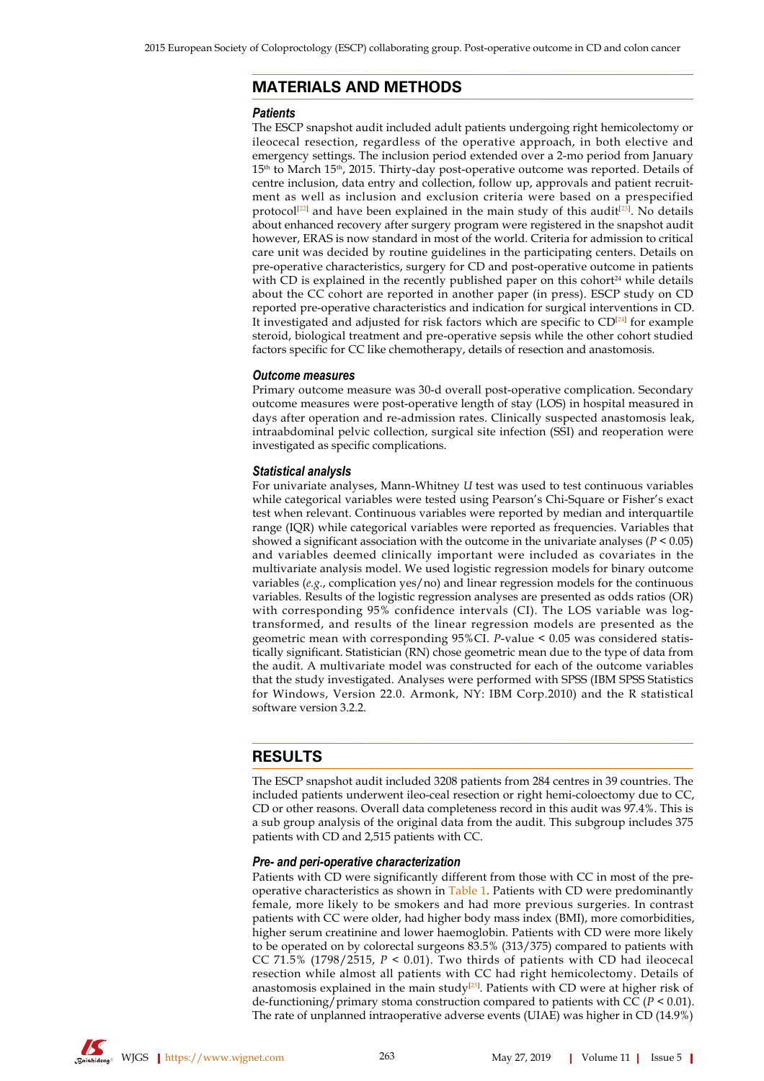## **MATERIALS AND METHODS**

#### *Patients*

The ESCP snapshot audit included adult patients undergoing right hemicolectomy or ileocecal resection, regardless of the operative approach, in both elective and emergency settings. The inclusion period extended over a 2-mo period from January  $15<sup>th</sup>$  to March  $15<sup>th</sup>$ , 2015. Thirty-day post-operative outcome was reported. Details of centre inclusion, data entry and collection, follow up, approvals and patient recruitment as well as inclusion and exclusion criteria were based on a prespecified protocol<sup>[\[22](#page-8-15)]</sup> and have been explained in the main study of this audit<sup>[[23](#page-8-16)]</sup>. No details about enhanced recovery after surgery program were registered in the snapshot audit however, ERAS is now standard in most of the world. Criteria for admission to critical care unit was decided by routine guidelines in the participating centers. Details on pre-operative characteristics, surgery for CD and post-operative outcome in patients with CD is explained in the recently published paper on this cohort<sup>24</sup> while details about the CC cohort are reported in another paper (in press). ESCP study on CD reported pre-operative characteristics and indication for surgical interventions in CD. It investigated and adjusted for risk factors which are specific to  $CD^{[24]}$  $CD^{[24]}$  $CD^{[24]}$  for example steroid, biological treatment and pre-operative sepsis while the other cohort studied factors specific for CC like chemotherapy, details of resection and anastomosis.

#### *Outcome measures*

Primary outcome measure was 30-d overall post-operative complication. Secondary outcome measures were post-operative length of stay (LOS) in hospital measured in days after operation and re-admission rates. Clinically suspected anastomosis leak, intraabdominal pelvic collection, surgical site infection (SSI) and reoperation were investigated as specific complications.

#### *Statistical analysIs*

For univariate analyses, Mann-Whitney *U* test was used to test continuous variables while categorical variables were tested using Pearson's Chi-Square or Fisher's exact test when relevant. Continuous variables were reported by median and interquartile range (IQR) while categorical variables were reported as frequencies. Variables that showed a significant association with the outcome in the univariate analyses ( $P < 0.05$ ) and variables deemed clinically important were included as covariates in the multivariate analysis model. We used logistic regression models for binary outcome variables (*e.g*., complication yes/no) and linear regression models for the continuous variables. Results of the logistic regression analyses are presented as odds ratios (OR) with corresponding 95% confidence intervals (CI). The LOS variable was logtransformed, and results of the linear regression models are presented as the geometric mean with corresponding 95%CI. *P*-value < 0.05 was considered statistically significant. Statistician (RN) chose geometric mean due to the type of data from the audit. A multivariate model was constructed for each of the outcome variables that the study investigated. Analyses were performed with SPSS (IBM SPSS Statistics for Windows, Version 22.0. Armonk, NY: IBM Corp.2010) and the R statistical software version 3.2.2.

## **RESULTS**

The ESCP snapshot audit included 3208 patients from 284 centres in 39 countries. The included patients underwent ileo-ceal resection or right hemi-coloectomy due to CC, CD or other reasons. Overall data completeness record in this audit was 97.4%. This is a sub group analysis of the original data from the audit. This subgroup includes 375 patients with CD and 2,515 patients with CC.

#### *Pre- and peri-operative characterization*

Patients with CD were significantly different from those with CC in most of the preoperative characteristics as shown in [Table 1](#page-4-0). Patients with CD were predominantly female, more likely to be smokers and had more previous surgeries. In contrast patients with CC were older, had higher body mass index (BMI), more comorbidities, higher serum creatinine and lower haemoglobin. Patients with CD were more likely to be operated on by colorectal surgeons 83.5% (313/375) compared to patients with CC 71.5% (1798/2515, *P* < 0.01). Two thirds of patients with CD had ileocecal resection while almost all patients with CC had right hemicolectomy. Details of anastomosis explained in the main study $^{[23]}$  $^{[23]}$  $^{[23]}$ . Patients with CD were at higher risk of de-functioning/primary stoma construction compared to patients with CC (*P* < 0.01). The rate of unplanned intraoperative adverse events (UIAE) was higher in CD (14.9%)

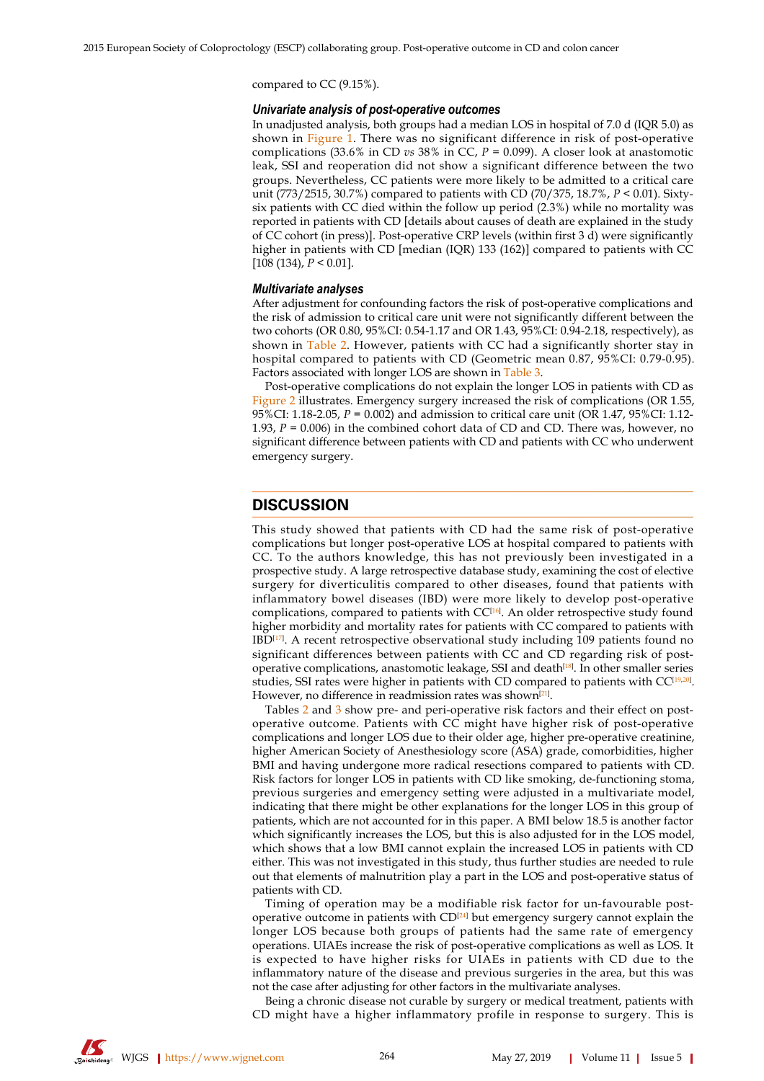compared to CC (9.15%).

#### *Univariate analysis of post-operative outcomes*

In unadjusted analysis, both groups had a median LOS in hospital of 7.0 d (IQR 5.0) as shown in [Figure 1](#page-5-0). There was no significant difference in risk of post-operative complications (33.6% in CD *vs* 38% in CC, *P* = 0.099). A closer look at anastomotic leak, SSI and reoperation did not show a significant difference between the two groups. Nevertheless, CC patients were more likely to be admitted to a critical care unit (773/2515, 30.7%) compared to patients with CD (70/375, 18.7%, *P* < 0.01). Sixtysix patients with CC died within the follow up period (2.3%) while no mortality was reported in patients with CD [details about causes of death are explained in the study of CC cohort (in press)]. Post-operative CRP levels (within first 3 d) were significantly higher in patients with CD [median (IQR) 133 (162)] compared to patients with CC [108 (134), *P* < 0.01].

#### *Multivariate analyses*

After adjustment for confounding factors the risk of post-operative complications and the risk of admission to critical care unit were not significantly different between the two cohorts (OR 0.80, 95%CI: 0.54-1.17 and OR 1.43, 95%CI: 0.94-2.18, respectively), as shown in [Table 2](#page-6-0). However, patients with CC had a significantly shorter stay in hospital compared to patients with CD (Geometric mean 0.87, 95%CI: 0.79-0.95). Factors associated with longer LOS are shown in [Table 3.](#page-6-1)

Post-operative complications do not explain the longer LOS in patients with CD as [Figure 2](#page-7-0) illustrates. Emergency surgery increased the risk of complications (OR 1.55, 95%CI: 1.18-2.05, *P* = 0.002) and admission to critical care unit (OR 1.47, 95%CI: 1.12- 1.93, *P* = 0.006) in the combined cohort data of CD and CD. There was, however, no significant difference between patients with CD and patients with CC who underwent emergency surgery.

### **DISCUSSION**

This study showed that patients with CD had the same risk of post-operative complications but longer post-operative LOS at hospital compared to patients with CC. To the authors knowledge, this has not previously been investigated in a prospective study. A large retrospective database study, examining the cost of elective surgery for diverticulitis compared to other diseases, found that patients with inflammatory bowel diseases (IBD) were more likely to develop post-operative complications, compared to patients with CC<sup>[\[16](#page-8-13)]</sup>. An older retrospective study found higher morbidity and mortality rates for patients with CC compared to patients with  $IBD<sup>[17]</sup>$  $IBD<sup>[17]</sup>$  $IBD<sup>[17]</sup>$ . A recent retrospective observational study including 109 patients found no significant differences between patients with CC and CD regarding risk of post-operative complications, anastomotic leakage, SSI and death<sup>[\[18](#page-8-19)]</sup>. In other smaller series studies, SSI rates were higher in patients with CD compared to patients with CC<sup>[\[19](#page-8-20),[20\]](#page-8-21)</sup>. However, no difference in readmission rates was shown<sup>[[21](#page-8-14)]</sup>.

Tables [2](#page-6-0) and [3](#page-6-1) show pre- and peri-operative risk factors and their effect on postoperative outcome. Patients with CC might have higher risk of post-operative complications and longer LOS due to their older age, higher pre-operative creatinine, higher American Society of Anesthesiology score (ASA) grade, comorbidities, higher BMI and having undergone more radical resections compared to patients with CD. Risk factors for longer LOS in patients with CD like smoking, de-functioning stoma, previous surgeries and emergency setting were adjusted in a multivariate model, indicating that there might be other explanations for the longer LOS in this group of patients, which are not accounted for in this paper. A BMI below 18.5 is another factor which significantly increases the LOS, but this is also adjusted for in the LOS model, which shows that a low BMI cannot explain the increased LOS in patients with CD either. This was not investigated in this study, thus further studies are needed to rule out that elements of malnutrition play a part in the LOS and post-operative status of patients with CD.

Timing of operation may be a modifiable risk factor for un-favourable post-operative outcome in patients with CD<sup>[[24\]](#page-8-17)</sup> but emergency surgery cannot explain the longer LOS because both groups of patients had the same rate of emergency operations. UIAEs increase the risk of post-operative complications as well as LOS. It is expected to have higher risks for UIAEs in patients with CD due to the inflammatory nature of the disease and previous surgeries in the area, but this was not the case after adjusting for other factors in the multivariate analyses.

Being a chronic disease not curable by surgery or medical treatment, patients with CD might have a higher inflammatory profile in response to surgery. This is

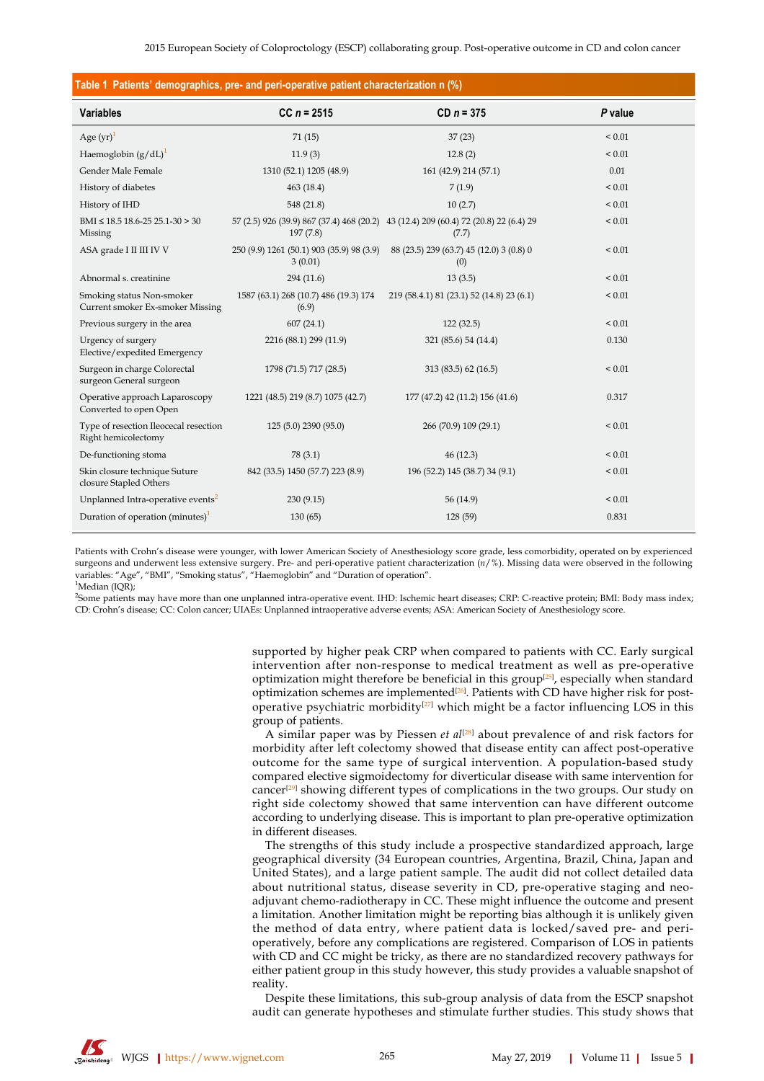<span id="page-4-0"></span>

| Table 1 Patients' demographics, pre- and peri-operative patient characterization n (%) |                                                      |                                                                                               |             |  |
|----------------------------------------------------------------------------------------|------------------------------------------------------|-----------------------------------------------------------------------------------------------|-------------|--|
| <b>Variables</b>                                                                       | $CC n = 2515$                                        | $CD n = 375$                                                                                  | P value     |  |
| Age $(yr)^1$                                                                           | 71(15)                                               | 37(23)                                                                                        | ${}_{0.01}$ |  |
| Haemoglobin $(g/dL)^1$                                                                 | 11.9(3)                                              | 12.8(2)                                                                                       | ${}_{0.01}$ |  |
| Gender Male Female                                                                     | 1310 (52.1) 1205 (48.9)                              | 161 (42.9) 214 (57.1)                                                                         | 0.01        |  |
| History of diabetes                                                                    | 463 (18.4)                                           | 7(1.9)                                                                                        | ${}_{0.01}$ |  |
| History of IHD                                                                         | 548 (21.8)                                           | 10(2.7)                                                                                       | ${}_{0.01}$ |  |
| $BMI \leq 18.5$ 18.6-25 25.1-30 > 30<br>Missing                                        | 197(7.8)                                             | 57 (2.5) 926 (39.9) 867 (37.4) 468 (20.2) 43 (12.4) 209 (60.4) 72 (20.8) 22 (6.4) 29<br>(7.7) | ${}_{0.01}$ |  |
| ASA grade I II III IV V                                                                | 250 (9.9) 1261 (50.1) 903 (35.9) 98 (3.9)<br>3(0.01) | 88 (23.5) 239 (63.7) 45 (12.0) 3 (0.8) 0<br>(0)                                               | ${}_{0.01}$ |  |
| Abnormal s. creatinine                                                                 | 294 (11.6)                                           | 13(3.5)                                                                                       | ${}_{0.01}$ |  |
| Smoking status Non-smoker<br>Current smoker Ex-smoker Missing                          | 1587 (63.1) 268 (10.7) 486 (19.3) 174<br>(6.9)       | 219 (58.4.1) 81 (23.1) 52 (14.8) 23 (6.1)                                                     | ${}_{0.01}$ |  |
| Previous surgery in the area                                                           | 607(24.1)                                            | 122(32.5)                                                                                     | ${}_{0.01}$ |  |
| Urgency of surgery<br>Elective/expedited Emergency                                     | 2216 (88.1) 299 (11.9)                               | 321 (85.6) 54 (14.4)                                                                          | 0.130       |  |
| Surgeon in charge Colorectal<br>surgeon General surgeon                                | 1798 (71.5) 717 (28.5)                               | 313 (83.5) 62 (16.5)                                                                          | ${}_{0.01}$ |  |
| Operative approach Laparoscopy<br>Converted to open Open                               | 1221 (48.5) 219 (8.7) 1075 (42.7)                    | 177 (47.2) 42 (11.2) 156 (41.6)                                                               | 0.317       |  |
| Type of resection Ileocecal resection<br>Right hemicolectomy                           | 125 (5.0) 2390 (95.0)                                | 266 (70.9) 109 (29.1)                                                                         | ${}_{0.01}$ |  |
| De-functioning stoma                                                                   | 78 (3.1)                                             | 46(12.3)                                                                                      | ${}_{0.01}$ |  |
| Skin closure technique Suture<br>closure Stapled Others                                | 842 (33.5) 1450 (57.7) 223 (8.9)                     | 196 (52.2) 145 (38.7) 34 (9.1)                                                                | ${}_{0.01}$ |  |
| Unplanned Intra-operative events <sup>2</sup>                                          | 230 (9.15)                                           | 56 (14.9)                                                                                     | ${}_{0.01}$ |  |
| Duration of operation (minutes) <sup>1</sup>                                           | 130(65)                                              | 128 (59)                                                                                      | 0.831       |  |

Patients with Crohn's disease were younger, with lower American Society of Anesthesiology score grade, less comorbidity, operated on by experienced surgeons and underwent less extensive surgery. Pre- and peri-operative patient characterization (*n*/%). Missing data were observed in the following variables: "Age", "BMI", "Smoking status", "Haemoglobin" and "Duration of operation".  ${}^{1}$ Median (IOR);

2 Some patients may have more than one unplanned intra-operative event. IHD: Ischemic heart diseases; CRP: C-reactive protein; BMI: Body mass index; CD: Crohn's disease; CC: Colon cancer; UIAEs: Unplanned intraoperative adverse events; ASA: American Society of Anesthesiology score.

> supported by higher peak CRP when compared to patients with CC. Early surgical intervention after non-response to medical treatment as well as pre-operative optimization might therefore be beneficial in this group<sup>[[25\]](#page-9-0)</sup>, especially when standard optimization schemes are implemented<sup>[\[26](#page-9-1)]</sup>. Patients with CD have higher risk for post-operative psychiatric morbidity<sup>[\[27\]](#page-9-2)</sup> which might be a factor influencing LOS in this group of patients.

> A similar paper was by Piessen *et al*[[28](#page-9-3)] about prevalence of and risk factors for morbidity after left colectomy showed that disease entity can affect post-operative outcome for the same type of surgical intervention. A population-based study compared elective sigmoidectomy for diverticular disease with same intervention for cancer<sup>[[29\]](#page-9-4)</sup> showing different types of complications in the two groups. Our study on right side colectomy showed that same intervention can have different outcome according to underlying disease. This is important to plan pre-operative optimization in different diseases.

> The strengths of this study include a prospective standardized approach, large geographical diversity (34 European countries, Argentina, Brazil, China, Japan and United States), and a large patient sample. The audit did not collect detailed data about nutritional status, disease severity in CD, pre-operative staging and neoadjuvant chemo-radiotherapy in CC. These might influence the outcome and present a limitation. Another limitation might be reporting bias although it is unlikely given the method of data entry, where patient data is locked/saved pre- and perioperatively, before any complications are registered. Comparison of LOS in patients with CD and CC might be tricky, as there are no standardized recovery pathways for either patient group in this study however, this study provides a valuable snapshot of reality.

> Despite these limitations, this sub-group analysis of data from the ESCP snapshot audit can generate hypotheses and stimulate further studies. This study shows that

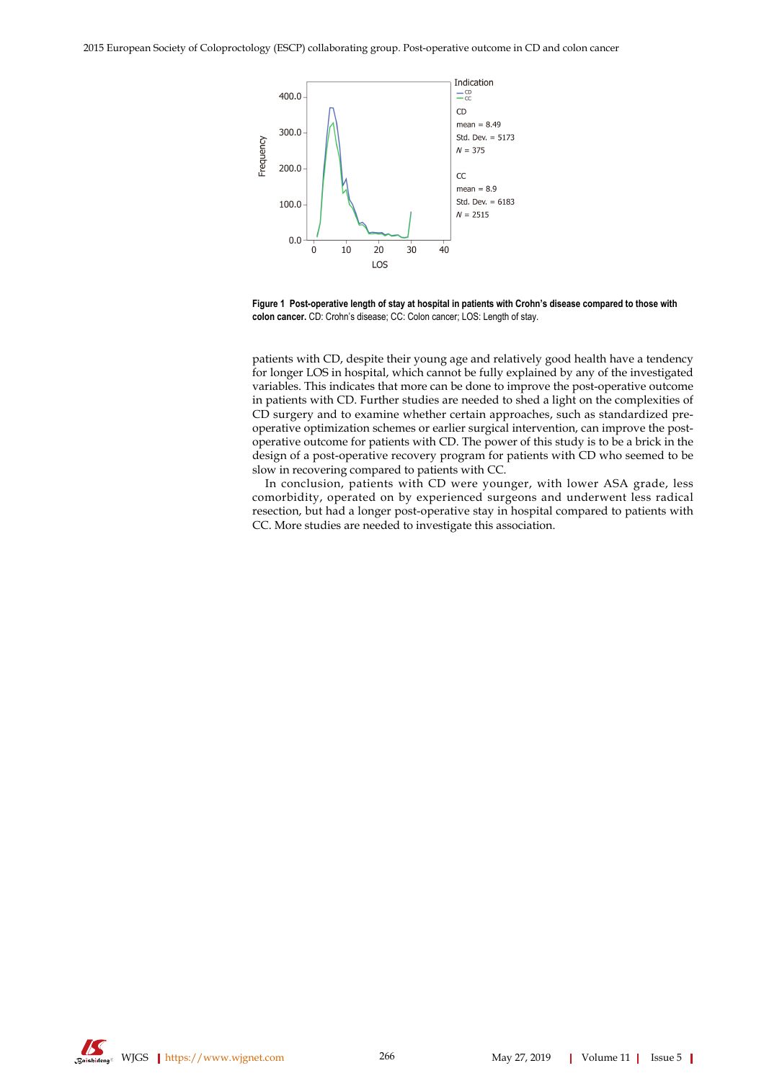<span id="page-5-0"></span>

**Figure 1 Post-operative length of stay at hospital in patients with Crohn's disease compared to those with colon cancer.** CD: Crohn's disease; CC: Colon cancer; LOS: Length of stay.

patients with CD, despite their young age and relatively good health have a tendency for longer LOS in hospital, which cannot be fully explained by any of the investigated variables. This indicates that more can be done to improve the post-operative outcome in patients with CD. Further studies are needed to shed a light on the complexities of CD surgery and to examine whether certain approaches, such as standardized preoperative optimization schemes or earlier surgical intervention, can improve the postoperative outcome for patients with CD. The power of this study is to be a brick in the design of a post-operative recovery program for patients with CD who seemed to be slow in recovering compared to patients with CC.

In conclusion, patients with CD were younger, with lower ASA grade, less comorbidity, operated on by experienced surgeons and underwent less radical resection, but had a longer post-operative stay in hospital compared to patients with CC. More studies are needed to investigate this association.

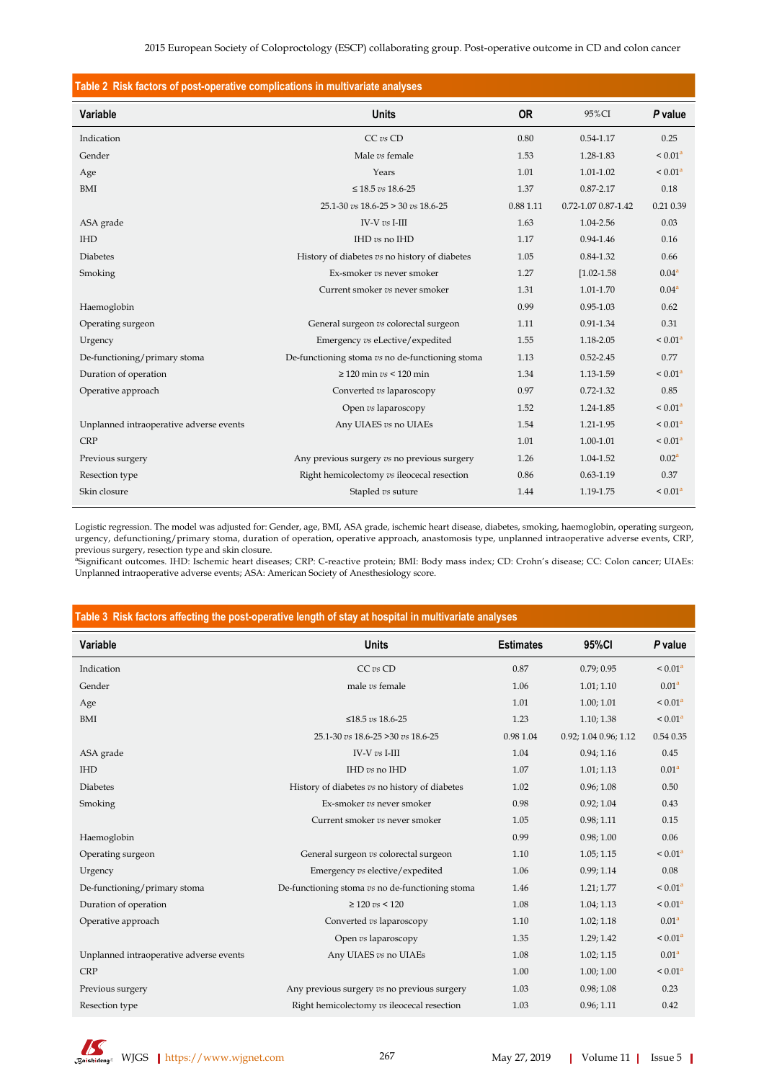<span id="page-6-0"></span>

| Table 2 Risk factors of post-operative complications in multivariate analyses |                                                 |           |                     |                     |  |  |
|-------------------------------------------------------------------------------|-------------------------------------------------|-----------|---------------------|---------------------|--|--|
| Variable                                                                      | <b>Units</b>                                    | <b>OR</b> | 95%CI               | P value             |  |  |
| Indication                                                                    | CC vs CD                                        | 0.80      | 0.54-1.17           | 0.25                |  |  |
| Gender                                                                        | Male vs female                                  | 1.53      | 1.28-1.83           | < 0.01 <sup>a</sup> |  |  |
| Age                                                                           | Years                                           | 1.01      | 1.01-1.02           | < 0.01 <sup>a</sup> |  |  |
| BMI                                                                           | $\leq 18.5\ vs\ 18.6\text{-}25$                 | 1.37      | $0.87 - 2.17$       | 0.18                |  |  |
|                                                                               | $25.1 - 30$ vs $18.6 - 25 > 30$ vs $18.6 - 25$  | 0.88 1.11 | 0.72-1.07 0.87-1.42 | 0.21 0.39           |  |  |
| ASA grade                                                                     | IV-V $vs$ I-III                                 | 1.63      | 1.04-2.56           | 0.03                |  |  |
| <b>IHD</b>                                                                    | IHD vs no IHD                                   | 1.17      | $0.94 - 1.46$       | 0.16                |  |  |
| <b>Diabetes</b>                                                               | History of diabetes vs no history of diabetes   | 1.05      | $0.84 - 1.32$       | 0.66                |  |  |
| Smoking                                                                       | Ex-smoker vs never smoker                       | 1.27      | $[1.02 - 1.58]$     | 0.04 <sup>a</sup>   |  |  |
|                                                                               | Current smoker vs never smoker                  | 1.31      | 1.01-1.70           | 0.04 <sup>a</sup>   |  |  |
| Haemoglobin                                                                   |                                                 | 0.99      | $0.95 - 1.03$       | 0.62                |  |  |
| Operating surgeon                                                             | General surgeon vs colorectal surgeon           | 1.11      | 0.91-1.34           | 0.31                |  |  |
| Urgency                                                                       | Emergency vs eLective/expedited                 | 1.55      | 1.18-2.05           | < 0.01 <sup>a</sup> |  |  |
| De-functioning/primary stoma                                                  | De-functioning stoma vs no de-functioning stoma | 1.13      | $0.52 - 2.45$       | 0.77                |  |  |
| Duration of operation                                                         | $\geq$ 120 min vs < 120 min                     | 1.34      | 1.13-1.59           | < 0.01 <sup>a</sup> |  |  |
| Operative approach                                                            | Converted vs laparoscopy                        | 0.97      | $0.72 - 1.32$       | 0.85                |  |  |
|                                                                               | Open vs laparoscopy                             | 1.52      | 1.24-1.85           | < 0.01 <sup>a</sup> |  |  |
| Unplanned intraoperative adverse events                                       | Any UIAES vs no UIAEs                           | 1.54      | 1.21-1.95           | < 0.01 <sup>a</sup> |  |  |
| <b>CRP</b>                                                                    |                                                 | 1.01      | 1.00-1.01           | < 0.01 <sup>a</sup> |  |  |
| Previous surgery                                                              | Any previous surgery vs no previous surgery     | 1.26      | 1.04-1.52           | 0.02 <sup>a</sup>   |  |  |
| Resection type                                                                | Right hemicolectomy vs ileocecal resection      | 0.86      | $0.63 - 1.19$       | 0.37                |  |  |
| Skin closure                                                                  | Stapled vs suture                               | 1.44      | 1.19-1.75           | < 0.01 <sup>a</sup> |  |  |

Logistic regression. The model was adjusted for: Gender, age, BMI, ASA grade, ischemic heart disease, diabetes, smoking, haemoglobin, operating surgeon, urgency, defunctioning/primary stoma, duration of operation, operative approach, anastomosis type, unplanned intraoperative adverse events, CRP,

previous surgery, resection type and skin closure.<br><sup>a</sup>Significant outcomes. IHD: Ischemic heart diseases; CRP: C-reactive protein; BMI: Body mass index; CD: Crohn´s disease; CC: Colon cancer; UIAEs: Unplanned intraoperative adverse events; ASA: American Society of Anesthesiology score.

## <span id="page-6-1"></span>**Table 3 Risk factors affecting the post-operative length of stay at hospital in multivariate analyses**

| <b>Variable</b>                         | <b>Units</b>                                    | <b>Estimates</b> | 95%CI                 | P value             |
|-----------------------------------------|-------------------------------------------------|------------------|-----------------------|---------------------|
| Indication                              | CC vs CD                                        | 0.87             | 0.79; 0.95            | < 0.01 <sup>a</sup> |
| Gender                                  | male vs female                                  | 1.06             | 1.01; 1.10            | 0.01 <sup>a</sup>   |
| Age                                     |                                                 | 1.01             | 1.00; 1.01            | < 0.01 <sup>a</sup> |
| BMI                                     | ≤18.5 $vs$ 18.6-25                              | 1.23             | 1.10; 1.38            | < 0.01 <sup>a</sup> |
|                                         | 25.1-30 vs 18.6-25 > 30 vs 18.6-25              | 0.98 1.04        | 0.92; 1.04 0.96; 1.12 | 0.54 0.35           |
| ASA grade                               | IV-V vs I-III                                   | 1.04             | 0.94; 1.16            | 0.45                |
| <b>IHD</b>                              | IHD vs no IHD                                   | 1.07             | 1.01; 1.13            | 0.01 <sup>a</sup>   |
| <b>Diabetes</b>                         | History of diabetes vs no history of diabetes   | 1.02             | 0.96; 1.08            | 0.50                |
| Smoking                                 | Ex-smoker vs never smoker                       | 0.98             | 0.92; 1.04            | 0.43                |
|                                         | Current smoker vs never smoker                  | 1.05             | 0.98; 1.11            | 0.15                |
| Haemoglobin                             |                                                 | 0.99             | 0.98; 1.00            | 0.06                |
| Operating surgeon                       | General surgeon vs colorectal surgeon           | 1.10             | 1.05; 1.15            | < 0.01 <sup>a</sup> |
| Urgency                                 | Emergency vs elective/expedited                 | 1.06             | 0.99; 1.14            | 0.08                |
| De-functioning/primary stoma            | De-functioning stoma vs no de-functioning stoma | 1.46             | 1.21; 1.77            | < 0.01 <sup>a</sup> |
| Duration of operation                   | $\geq 120$ vs < 120                             | 1.08             | 1.04; 1.13            | < 0.01 <sup>a</sup> |
| Operative approach                      | Converted vs laparoscopy                        | 1.10             | 1.02; 1.18            | 0.01 <sup>a</sup>   |
|                                         | Open vs laparoscopy                             | 1.35             | 1.29; 1.42            | < 0.01 <sup>a</sup> |
| Unplanned intraoperative adverse events | Any UIAES vs no UIAEs                           | 1.08             | 1.02; 1.15            | 0.01 <sup>a</sup>   |
| <b>CRP</b>                              |                                                 | 1.00             | 1.00; 1.00            | < 0.01 <sup>a</sup> |
| Previous surgery                        | Any previous surgery vs no previous surgery     | 1.03             | 0.98; 1.08            | 0.23                |
| Resection type                          | Right hemicolectomy vs ileocecal resection      | 1.03             | 0.96; 1.11            | 0.42                |

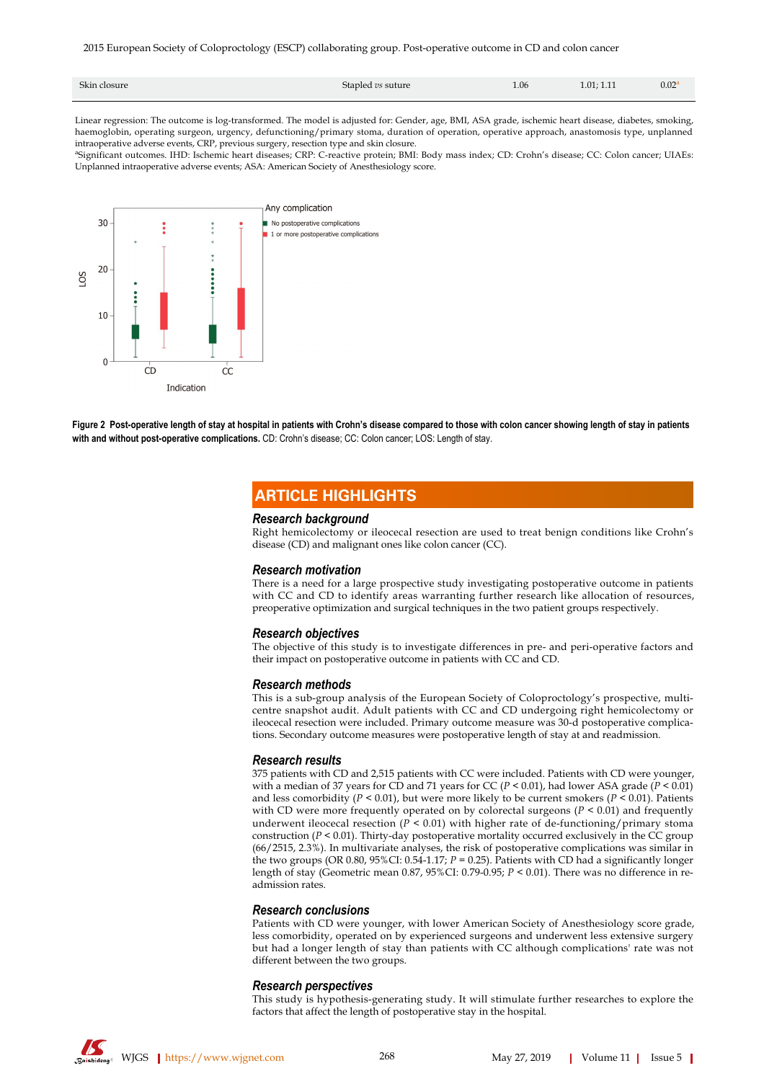| Skin closure<br>Stapled vs suture | 1.06 | 1.01; 1.11 | $0.02^a$ |
|-----------------------------------|------|------------|----------|
|-----------------------------------|------|------------|----------|

Linear regression: The outcome is log-transformed. The model is adjusted for: Gender, age, BMI, ASA grade, ischemic heart disease, diabetes, smoking, haemoglobin, operating surgeon, urgency, defunctioning/primary stoma, duration of operation, operative approach, anastomosis type, unplanned intraoperative adverse events, CRP, previous surgery, resection type and skin closure.

<span id="page-7-0"></span>a Significant outcomes. IHD: Ischemic heart diseases; CRP: C-reactive protein; BMI: Body mass index; CD: Crohn's disease; CC: Colon cancer; UIAEs: Unplanned intraoperative adverse events; ASA: American Society of Anesthesiology score.



**Figure 2 Post-operative length of stay at hospital in patients with Crohn's disease compared to those with colon cancer showing length of stay in patients with and without post-operative complications.** CD: Crohn's disease; CC: Colon cancer; LOS: Length of stay.

## **ARTICLE HIGHLIGHTS**

#### *Research background*

Right hemicolectomy or ileocecal resection are used to treat benign conditions like Crohn's disease (CD) and malignant ones like colon cancer (CC).

#### *Research motivation*

There is a need for a large prospective study investigating postoperative outcome in patients with CC and CD to identify areas warranting further research like allocation of resources, preoperative optimization and surgical techniques in the two patient groups respectively.

#### *Research objectives*

The objective of this study is to investigate differences in pre- and peri-operative factors and their impact on postoperative outcome in patients with CC and CD.

#### *Research methods*

This is a sub-group analysis of the European Society of Coloproctology's prospective, multicentre snapshot audit. Adult patients with CC and CD undergoing right hemicolectomy or ileocecal resection were included. Primary outcome measure was 30-d postoperative complications. Secondary outcome measures were postoperative length of stay at and readmission.

#### *Research results*

375 patients with CD and 2,515 patients with CC were included. Patients with CD were younger, with a median of 37 years for CD and 71 years for CC ( $P < 0.01$ ), had lower ASA grade ( $P < 0.01$ ) and less comorbidity ( $P < 0.01$ ), but were more likely to be current smokers ( $P < 0.01$ ). Patients with CD were more frequently operated on by colorectal surgeons  $(P < 0.01)$  and frequently underwent ileocecal resection ( $P < 0.01$ ) with higher rate of de-functioning/primary stoma construction (*P* < 0.01). Thirty-day postoperative mortality occurred exclusively in the CC group (66/2515, 2.3%). In multivariate analyses, the risk of postoperative complications was similar in the two groups (OR 0.80, 95%CI: 0.54-1.17;  $P = 0.25$ ). Patients with CD had a significantly longer length of stay (Geometric mean 0.87, 95%CI: 0.79-0.95; *P* < 0.01). There was no difference in readmission rates.

#### *Research conclusions*

Patients with CD were younger, with lower American Society of Anesthesiology score grade, less comorbidity, operated on by experienced surgeons and underwent less extensive surgery but had a longer length of stay than patients with CC although complications' rate was not different between the two groups.

#### *Research perspectives*

This study is hypothesis-generating study. It will stimulate further researches to explore the factors that affect the length of postoperative stay in the hospital.

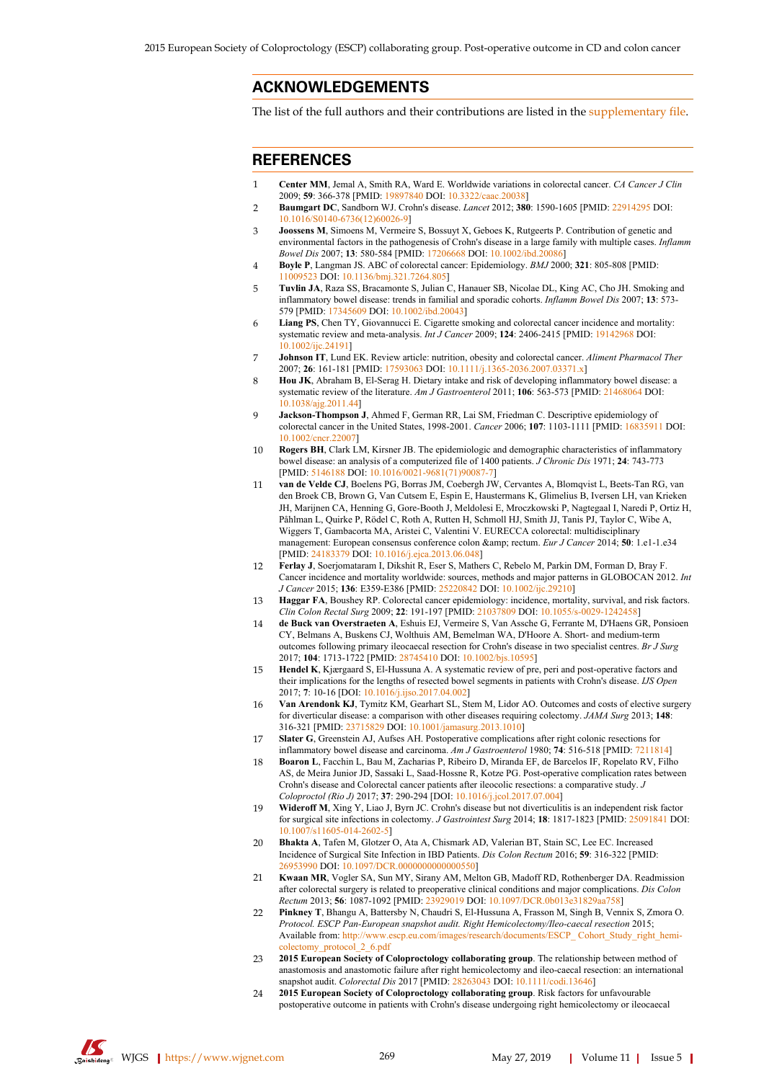## **ACKNOWLEDGEMENTS**

The list of the full authors and their contributions are listed in the [supplementary file.](https://f6publishing.blob.core.windows.net/7e6f29a6-2e8d-497b-8d05-b0484d35e840/WJGS-11-261-supplementary-material.docx)

## **REFERENCES**

- <span id="page-8-0"></span>1 **Center MM**, Jemal A, Smith RA, Ward E. Worldwide variations in colorectal cancer. *CA Cancer J Clin* 2009; **59**: 366-378 [PMID: [19897840](http://www.ncbi.nlm.nih.gov/pubmed/19897840) DOI: [10.3322/caac.20038](https://dx.doi.org/10.3322/caac.20038)]
- <span id="page-8-1"></span>2 **Baumgart DC**, Sandborn WJ. Crohn's disease. *Lancet* 2012; **380**: 1590-1605 [PMID: [22914295](http://www.ncbi.nlm.nih.gov/pubmed/22914295) DOI: [10.1016/S0140-6736\(12\)60026-9\]](https://dx.doi.org/10.1016/S0140-6736(12)60026-9)
- <span id="page-8-2"></span>3 **Joossens M**, Simoens M, Vermeire S, Bossuyt X, Geboes K, Rutgeerts P. Contribution of genetic and environmental factors in the pathogenesis of Crohn's disease in a large family with multiple cases. *Inflamm Bowel Dis* 2007; **13**: 580-584 [PMID: [17206668](http://www.ncbi.nlm.nih.gov/pubmed/17206668) DOI: [10.1002/ibd.20086](https://dx.doi.org/10.1002/ibd.20086)]
- <span id="page-8-3"></span>4 **Boyle P**, Langman JS. ABC of colorectal cancer: Epidemiology. *BMJ* 2000; **321**: 805-808 [PMID: [11009523](http://www.ncbi.nlm.nih.gov/pubmed/11009523) DOI: [10.1136/bmj.321.7264.805\]](https://dx.doi.org/10.1136/bmj.321.7264.805)
- <span id="page-8-4"></span>5 **Tuvlin JA**, Raza SS, Bracamonte S, Julian C, Hanauer SB, Nicolae DL, King AC, Cho JH. Smoking and inflammatory bowel disease: trends in familial and sporadic cohorts. *Inflamm Bowel Dis* 2007; **13**: 573- 579 [PMID: [17345609](http://www.ncbi.nlm.nih.gov/pubmed/17345609) DOI: [10.1002/ibd.20043](https://dx.doi.org/10.1002/ibd.20043)]
- 6 **Liang PS**, Chen TY, Giovannucci E. Cigarette smoking and colorectal cancer incidence and mortality: systematic review and meta-analysis. *Int J Cancer* 2009; **124**: 2406-2415 [PMID: [19142968](http://www.ncbi.nlm.nih.gov/pubmed/19142968) DOI: [10.1002/ijc.24191\]](https://dx.doi.org/10.1002/ijc.24191)
- 7 **Johnson IT**, Lund EK. Review article: nutrition, obesity and colorectal cancer. *Aliment Pharmacol Ther* 2007; **26**: 161-181 [PMID: [17593063](http://www.ncbi.nlm.nih.gov/pubmed/17593063) DOI: [10.1111/j.1365-2036.2007.03371.x\]](https://dx.doi.org/10.1111/j.1365-2036.2007.03371.x)
- <span id="page-8-5"></span>8 **Hou JK**, Abraham B, El-Serag H. Dietary intake and risk of developing inflammatory bowel disease: a systematic review of the literature. *Am J Gastroenterol* 2011; **106**: 563-573 [PMID: [21468064](http://www.ncbi.nlm.nih.gov/pubmed/21468064) DOI: [10.1038/ajg.2011.44](https://dx.doi.org/10.1038/ajg.2011.44)]
- <span id="page-8-6"></span>9 **Jackson-Thompson J**, Ahmed F, German RR, Lai SM, Friedman C. Descriptive epidemiology of colorectal cancer in the United States, 1998-2001. *Cancer* 2006; **107**: 1103-1111 [PMID: [16835911](http://www.ncbi.nlm.nih.gov/pubmed/16835911) DOI: [10.1002/cncr.22007](https://dx.doi.org/10.1002/cncr.22007)]
- <span id="page-8-7"></span>10 **Rogers BH**, Clark LM, Kirsner JB. The epidemiologic and demographic characteristics of inflammatory bowel disease: an analysis of a computerized file of 1400 patients. *J Chronic Dis* 1971; **24**: 743-773 [PMID: [5146188](http://www.ncbi.nlm.nih.gov/pubmed/5146188) DOI: [10.1016/0021-9681\(71\)90087-7](https://dx.doi.org/10.1016/0021-9681(71)90087-7)]
- <span id="page-8-8"></span>11 **van de Velde CJ**, Boelens PG, Borras JM, Coebergh JW, Cervantes A, Blomqvist L, Beets-Tan RG, van den Broek CB, Brown G, Van Cutsem E, Espin E, Haustermans K, Glimelius B, Iversen LH, van Krieken JH, Marijnen CA, Henning G, Gore-Booth J, Meldolesi E, Mroczkowski P, Nagtegaal I, Naredi P, Ortiz H, Påhlman L, Quirke P, Rödel C, Roth A, Rutten H, Schmoll HJ, Smith JJ, Tanis PJ, Taylor C, Wibe A, Wiggers T, Gambacorta MA, Aristei C, Valentini V. EURECCA colorectal: multidisciplinary management: European consensus conference colon & amp; rectum. *Eur J Cancer* 2014; **50**: 1.e1-1.e34 [PMID: [24183379](http://www.ncbi.nlm.nih.gov/pubmed/24183379) DOI: [10.1016/j.ejca.2013.06.048](https://dx.doi.org/10.1016/j.ejca.2013.06.048)]
- <span id="page-8-9"></span>12 **Ferlay J**, Soerjomataram I, Dikshit R, Eser S, Mathers C, Rebelo M, Parkin DM, Forman D, Bray F. Cancer incidence and mortality worldwide: sources, methods and major patterns in GLOBOCAN 2012. *Int J Cancer* 2015; **136**: E359-E386 [PMID: [25220842](http://www.ncbi.nlm.nih.gov/pubmed/25220842) DOI: [10.1002/ijc.29210](https://dx.doi.org/10.1002/ijc.29210)]
- <span id="page-8-10"></span>13 **Haggar FA**, Boushey RP. Colorectal cancer epidemiology: incidence, mortality, survival, and risk factors. *Clin Colon Rectal Surg* 2009; **22**: 191-197 [PMID: [21037809](http://www.ncbi.nlm.nih.gov/pubmed/21037809) DOI: [10.1055/s-0029-1242458\]](https://dx.doi.org/10.1055/s-0029-1242458)
- <span id="page-8-11"></span>14 **de Buck van Overstraeten A**, Eshuis EJ, Vermeire S, Van Assche G, Ferrante M, D'Haens GR, Ponsioen CY, Belmans A, Buskens CJ, Wolthuis AM, Bemelman WA, D'Hoore A. Short- and medium-term outcomes following primary ileocaecal resection for Crohn's disease in two specialist centres. *Br J Surg* 2017; **104**: 1713-1722 [PMID: [28745410](http://www.ncbi.nlm.nih.gov/pubmed/28745410) DOI: [10.1002/bjs.10595\]](https://dx.doi.org/10.1002/bjs.10595)
- <span id="page-8-12"></span>15 **Hendel K**, Kjærgaard S, El-Hussuna A. A systematic review of pre, peri and post-operative factors and their implications for the lengths of resected bowel segments in patients with Crohn's disease. *IJS Open* 2017; **7**: 10-16 [DOI: [10.1016/j.ijso.2017.04.002\]](https://dx.doi.org/10.1016/j.ijso.2017.04.002)
- <span id="page-8-13"></span>16 **Van Arendonk KJ**, Tymitz KM, Gearhart SL, Stem M, Lidor AO. Outcomes and costs of elective surgery for diverticular disease: a comparison with other diseases requiring colectomy. *JAMA Surg* 2013; **148**: 316-321 [PMID: [23715829](http://www.ncbi.nlm.nih.gov/pubmed/23715829) DOI: [10.1001/jamasurg.2013.1010](https://dx.doi.org/10.1001/jamasurg.2013.1010)]
- <span id="page-8-18"></span>17 **Slater G**, Greenstein AJ, Aufses AH. Postoperative complications after right colonic resections for inflammatory bowel disease and carcinoma. *Am J Gastroenterol* 1980; **74**: 516-518 [PMID: [7211814\]](http://www.ncbi.nlm.nih.gov/pubmed/7211814)
- <span id="page-8-19"></span>18 **Boaron L**, Facchin L, Bau M, Zacharias P, Ribeiro D, Miranda EF, de Barcelos IF, Ropelato RV, Filho AS, de Meira Junior JD, Sassaki L, Saad-Hossne R, Kotze PG. Post-operative complication rates between Crohn's disease and Colorectal cancer patients after ileocolic resections: a comparative study. *J Coloproctol (Rio J)* 2017; **37**: 290-294 [DOI: [10.1016/j.jcol.2017.07.004\]](https://dx.doi.org/10.1016/j.jcol.2017.07.004)
- <span id="page-8-20"></span>19 **Wideroff M**, Xing Y, Liao J, Byrn JC. Crohn's disease but not diverticulitis is an independent risk factor for surgical site infections in colectomy. *J Gastrointest Surg* 2014; **18**: 1817-1823 [PMID: [25091841](http://www.ncbi.nlm.nih.gov/pubmed/25091841) DOI: [10.1007/s11605-014-2602-5\]](https://dx.doi.org/10.1007/s11605-014-2602-5)
- <span id="page-8-21"></span>20 **Bhakta A**, Tafen M, Glotzer O, Ata A, Chismark AD, Valerian BT, Stain SC, Lee EC. Increased Incidence of Surgical Site Infection in IBD Patients. *Dis Colon Rectum* 2016; **59**: 316-322 [PMID: [26953990](http://www.ncbi.nlm.nih.gov/pubmed/26953990) DOI: [10.1097/DCR.0000000000000550](https://dx.doi.org/10.1097/DCR.0000000000000550)]
- <span id="page-8-14"></span>21 **Kwaan MR**, Vogler SA, Sun MY, Sirany AM, Melton GB, Madoff RD, Rothenberger DA. Readmission after colorectal surgery is related to preoperative clinical conditions and major complications. *Dis Colon Rectum* 2013; **56**: 1087-1092 [PMID: [23929019](http://www.ncbi.nlm.nih.gov/pubmed/23929019) DOI: [10.1097/DCR.0b013e31829aa758](https://dx.doi.org/10.1097/DCR.0b013e31829aa758)]
- <span id="page-8-15"></span>22 **Pinkney T**, Bhangu A, Battersby N, Chaudri S, El-Hussuna A, Frasson M, Singh B, Vennix S, Zmora O. *Protocol. ESCP Pan-European snapshot audit. Right Hemicolectomy/Ileo-caecal resection* 2015; Available from: [http://www.escp.eu.com/images/research/documents/ESCP\\_ Cohort\\_Study\\_right\\_hemi](http://www.escp.eu.com/images/research/documents/ESCP_ Cohort_Study_right_hemicolectomy_protocol_2_6.pdf)[colectomy\\_protocol\\_2\\_6.pdf](http://www.escp.eu.com/images/research/documents/ESCP_ Cohort_Study_right_hemicolectomy_protocol_2_6.pdf)
- <span id="page-8-16"></span>23 **2015 European Society of Coloproctology collaborating group**. The relationship between method of anastomosis and anastomotic failure after right hemicolectomy and ileo-caecal resection: an international snapshot audit. *Colorectal Dis* 2017 [PMID: [28263043](http://www.ncbi.nlm.nih.gov/pubmed/28263043) DOI: [10.1111/codi.13646\]](https://dx.doi.org/10.1111/codi.13646)
- <span id="page-8-17"></span>24 **2015 European Society of Coloproctology collaborating group**. Risk factors for unfavourable postoperative outcome in patients with Crohn's disease undergoing right hemicolectomy or ileocaecal

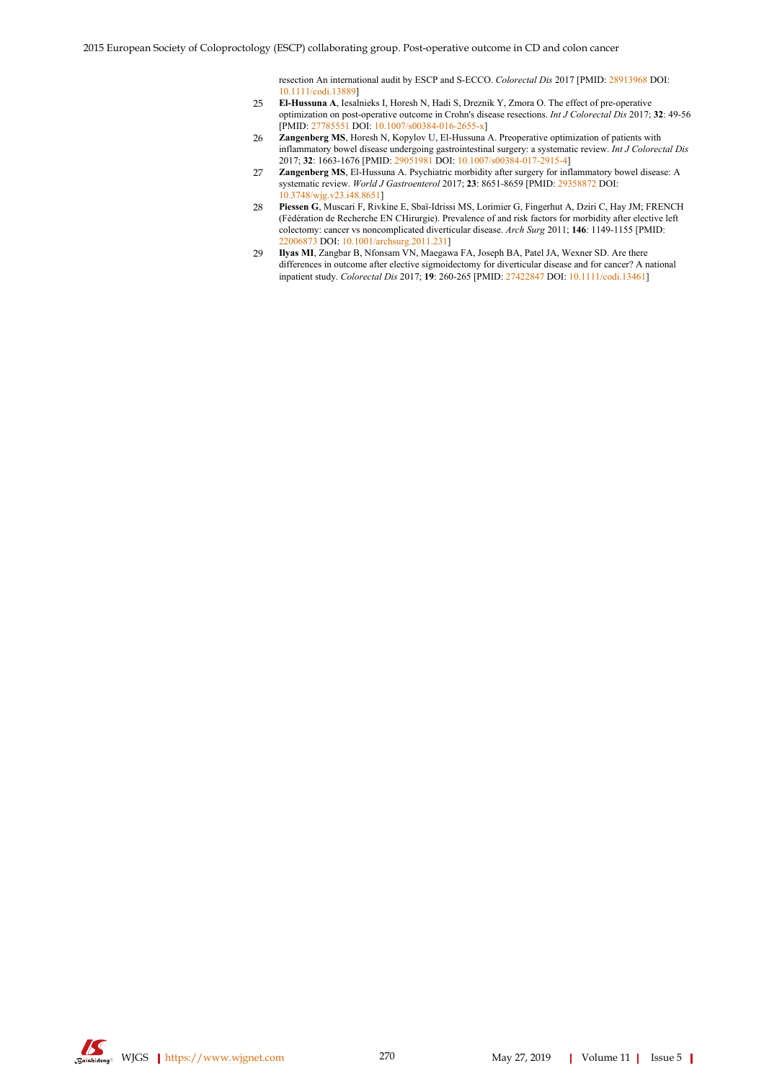resection An international audit by ESCP and S-ECCO. *Colorectal Dis* 2017 [PMID: [28913968](http://www.ncbi.nlm.nih.gov/pubmed/28913968) DOI: [10.1111/codi.13889](https://dx.doi.org/10.1111/codi.13889)]

- <span id="page-9-0"></span>25 **El-Hussuna A**, Iesalnieks I, Horesh N, Hadi S, Dreznik Y, Zmora O. The effect of pre-operative optimization on post-operative outcome in Crohn's disease resections. *Int J Colorectal Dis* 2017; **32**: 49-56 [PMID: [27785551](http://www.ncbi.nlm.nih.gov/pubmed/27785551) DOI: [10.1007/s00384-016-2655-x](https://dx.doi.org/10.1007/s00384-016-2655-x)]
- <span id="page-9-1"></span>26 **Zangenberg MS**, Horesh N, Kopylov U, El-Hussuna A. Preoperative optimization of patients with inflammatory bowel disease undergoing gastrointestinal surgery: a systematic review. *Int J Colorectal Dis* 2017; **32**: 1663-1676 [PMID: [29051981](http://www.ncbi.nlm.nih.gov/pubmed/29051981) DOI: [10.1007/s00384-017-2915-4\]](https://dx.doi.org/10.1007/s00384-017-2915-4)
- <span id="page-9-2"></span>27 **Zangenberg MS**, El-Hussuna A. Psychiatric morbidity after surgery for inflammatory bowel disease: A systematic review. *World J Gastroenterol* 2017; **23**: 8651-8659 [PMID: [29358872](http://www.ncbi.nlm.nih.gov/pubmed/29358872) DOI: [10.3748/wjg.v23.i48.8651](https://dx.doi.org/10.3748/wjg.v23.i48.8651)]
- <span id="page-9-3"></span>28 **Piessen G**, Muscari F, Rivkine E, Sbaï-Idrissi MS, Lorimier G, Fingerhut A, Dziri C, Hay JM; FRENCH (Fédération de Recherche EN CHirurgie). Prevalence of and risk factors for morbidity after elective left colectomy: cancer vs noncomplicated diverticular disease. *Arch Surg* 2011; **146**: 1149-1155 [PMID: [22006873](http://www.ncbi.nlm.nih.gov/pubmed/22006873) DOI: [10.1001/archsurg.2011.231\]](https://dx.doi.org/10.1001/archsurg.2011.231)
- <span id="page-9-4"></span>29 **Ilyas MI**, Zangbar B, Nfonsam VN, Maegawa FA, Joseph BA, Patel JA, Wexner SD. Are there differences in outcome after elective sigmoidectomy for diverticular disease and for cancer? A national inpatient study. *Colorectal Dis* 2017; **19**: 260-265 [PMID: [27422847](http://www.ncbi.nlm.nih.gov/pubmed/27422847) DOI: [10.1111/codi.13461](https://dx.doi.org/10.1111/codi.13461)]